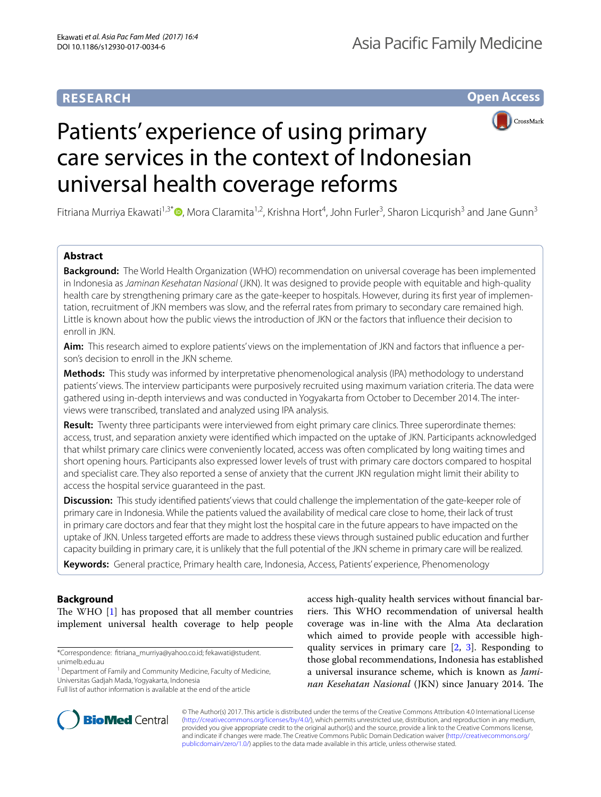# **RESEARCH**

**Open Access**



# Patients' experience of using primary care services in the context of Indonesian universal health coverage reforms

Fitriana Murriya Ekawati<sup>1,3\*</sup> (@[,](http://orcid.org/0000-0002-3622-0510) Mora Claramita<sup>1,2</sup>, Krishna Hort<sup>4</sup>, John Furler<sup>3</sup>, Sharon Licqurish<sup>3</sup> and Jane Gunn<sup>3</sup>

# **Abstract**

**Background:** The World Health Organization (WHO) recommendation on universal coverage has been implemented in Indonesia as *Jaminan Kesehatan Nasional* (JKN). It was designed to provide people with equitable and high-quality health care by strengthening primary care as the gate-keeper to hospitals. However, during its first year of implementation, recruitment of JKN members was slow, and the referral rates from primary to secondary care remained high. Little is known about how the public views the introduction of JKN or the factors that influence their decision to enroll in JKN.

**Aim:** This research aimed to explore patients' views on the implementation of JKN and factors that influence a person's decision to enroll in the JKN scheme.

**Methods:** This study was informed by interpretative phenomenological analysis (IPA) methodology to understand patients' views. The interview participants were purposively recruited using maximum variation criteria. The data were gathered using in-depth interviews and was conducted in Yogyakarta from October to December 2014. The interviews were transcribed, translated and analyzed using IPA analysis.

**Result:** Twenty three participants were interviewed from eight primary care clinics. Three superordinate themes: access, trust, and separation anxiety were identified which impacted on the uptake of JKN. Participants acknowledged that whilst primary care clinics were conveniently located, access was often complicated by long waiting times and short opening hours. Participants also expressed lower levels of trust with primary care doctors compared to hospital and specialist care. They also reported a sense of anxiety that the current JKN regulation might limit their ability to access the hospital service guaranteed in the past.

**Discussion:** This study identified patients' views that could challenge the implementation of the gate-keeper role of primary care in Indonesia. While the patients valued the availability of medical care close to home, their lack of trust in primary care doctors and fear that they might lost the hospital care in the future appears to have impacted on the uptake of JKN. Unless targeted efforts are made to address these views through sustained public education and further capacity building in primary care, it is unlikely that the full potential of the JKN scheme in primary care will be realized.

**Keywords:** General practice, Primary health care, Indonesia, Access, Patients' experience, Phenomenology

# **Background**

The WHO [\[1](#page-8-0)] has proposed that all member countries implement universal health coverage to help people

\*Correspondence: fitriana\_murriya@yahoo.co.id; fekawati@student. unimelb.edu.au

<sup>1</sup> Department of Family and Community Medicine, Faculty of Medicine, Universitas Gadjah Mada, Yogyakarta, Indonesia

Full list of author information is available at the end of the article

access high-quality health services without financial barriers. This WHO recommendation of universal health coverage was in-line with the Alma Ata declaration which aimed to provide people with accessible highquality services in primary care [\[2](#page-8-1), [3\]](#page-8-2). Responding to those global recommendations, Indonesia has established a universal insurance scheme, which is known as *Jaminan Kesehatan Nasional* (JKN) since January 2014. The



© The Author(s) 2017. This article is distributed under the terms of the Creative Commons Attribution 4.0 International License [\(http://creativecommons.org/licenses/by/4.0/\)](http://creativecommons.org/licenses/by/4.0/), which permits unrestricted use, distribution, and reproduction in any medium, provided you give appropriate credit to the original author(s) and the source, provide a link to the Creative Commons license, and indicate if changes were made. The Creative Commons Public Domain Dedication waiver ([http://creativecommons.org/](http://creativecommons.org/publicdomain/zero/1.0/) [publicdomain/zero/1.0/](http://creativecommons.org/publicdomain/zero/1.0/)) applies to the data made available in this article, unless otherwise stated.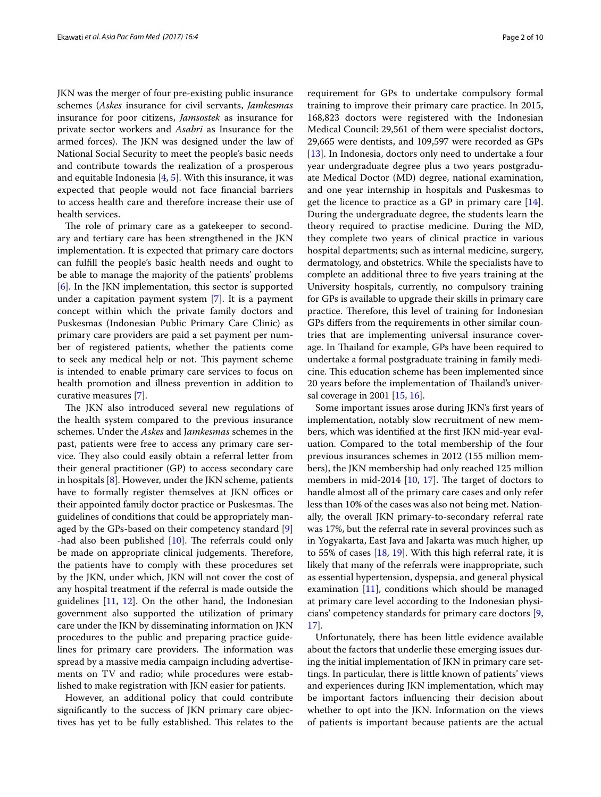JKN was the merger of four pre-existing public insurance schemes (*Askes* insurance for civil servants, *Jamkesmas* insurance for poor citizens, *Jamsostek* as insurance for private sector workers and *Asabri* as Insurance for the armed forces). The JKN was designed under the law of National Social Security to meet the people's basic needs and contribute towards the realization of a prosperous and equitable Indonesia  $[4, 5]$  $[4, 5]$  $[4, 5]$  $[4, 5]$ . With this insurance, it was expected that people would not face financial barriers to access health care and therefore increase their use of health services.

The role of primary care as a gatekeeper to secondary and tertiary care has been strengthened in the JKN implementation. It is expected that primary care doctors can fulfill the people's basic health needs and ought to be able to manage the majority of the patients' problems [[6\]](#page-8-5). In the JKN implementation, this sector is supported under a capitation payment system [\[7](#page-8-6)]. It is a payment concept within which the private family doctors and Puskesmas (Indonesian Public Primary Care Clinic) as primary care providers are paid a set payment per number of registered patients, whether the patients come to seek any medical help or not. This payment scheme is intended to enable primary care services to focus on health promotion and illness prevention in addition to curative measures [[7\]](#page-8-6).

The JKN also introduced several new regulations of the health system compared to the previous insurance schemes. Under the *Askes* and J*amkesmas* schemes in the past, patients were free to access any primary care service. They also could easily obtain a referral letter from their general practitioner (GP) to access secondary care in hospitals  $[8]$  $[8]$ . However, under the JKN scheme, patients have to formally register themselves at JKN offices or their appointed family doctor practice or Puskesmas. The guidelines of conditions that could be appropriately man-aged by the GPs-based on their competency standard [\[9](#page-8-8)] -had also been published [\[10\]](#page-8-9). The referrals could only be made on appropriate clinical judgements. Therefore, the patients have to comply with these procedures set by the JKN, under which, JKN will not cover the cost of any hospital treatment if the referral is made outside the guidelines [\[11](#page-8-10), [12](#page-8-11)]. On the other hand, the Indonesian government also supported the utilization of primary care under the JKN by disseminating information on JKN procedures to the public and preparing practice guidelines for primary care providers. The information was spread by a massive media campaign including advertisements on TV and radio; while procedures were established to make registration with JKN easier for patients.

However, an additional policy that could contribute significantly to the success of JKN primary care objectives has yet to be fully established. This relates to the requirement for GPs to undertake compulsory formal training to improve their primary care practice. In 2015, 168,823 doctors were registered with the Indonesian Medical Council: 29,561 of them were specialist doctors, 29,665 were dentists, and 109,597 were recorded as GPs [[13\]](#page-8-12). In Indonesia, doctors only need to undertake a four year undergraduate degree plus a two years postgraduate Medical Doctor (MD) degree, national examination, and one year internship in hospitals and Puskesmas to get the licence to practice as a GP in primary care [\[14](#page-8-13)]. During the undergraduate degree, the students learn the theory required to practise medicine. During the MD, they complete two years of clinical practice in various hospital departments; such as internal medicine, surgery, dermatology, and obstetrics. While the specialists have to complete an additional three to five years training at the University hospitals, currently, no compulsory training for GPs is available to upgrade their skills in primary care practice. Therefore, this level of training for Indonesian GPs differs from the requirements in other similar countries that are implementing universal insurance coverage. In Thailand for example, GPs have been required to undertake a formal postgraduate training in family medicine. This education scheme has been implemented since 20 years before the implementation of Thailand's universal coverage in 2001 [[15](#page-8-14), [16\]](#page-8-15).

Some important issues arose during JKN's first years of implementation, notably slow recruitment of new members, which was identified at the first JKN mid-year evaluation. Compared to the total membership of the four previous insurances schemes in 2012 (155 million members), the JKN membership had only reached 125 million members in mid-2014 [[10,](#page-8-9) [17](#page-8-16)]. The target of doctors to handle almost all of the primary care cases and only refer less than 10% of the cases was also not being met. Nationally, the overall JKN primary-to-secondary referral rate was 17%, but the referral rate in several provinces such as in Yogyakarta, East Java and Jakarta was much higher, up to 55% of cases [[18,](#page-9-0) [19\]](#page-9-1). With this high referral rate, it is likely that many of the referrals were inappropriate, such as essential hypertension, dyspepsia, and general physical examination [\[11](#page-8-10)], conditions which should be managed at primary care level according to the Indonesian physicians' competency standards for primary care doctors [\[9](#page-8-8), [17\]](#page-8-16).

Unfortunately, there has been little evidence available about the factors that underlie these emerging issues during the initial implementation of JKN in primary care settings. In particular, there is little known of patients' views and experiences during JKN implementation, which may be important factors influencing their decision about whether to opt into the JKN. Information on the views of patients is important because patients are the actual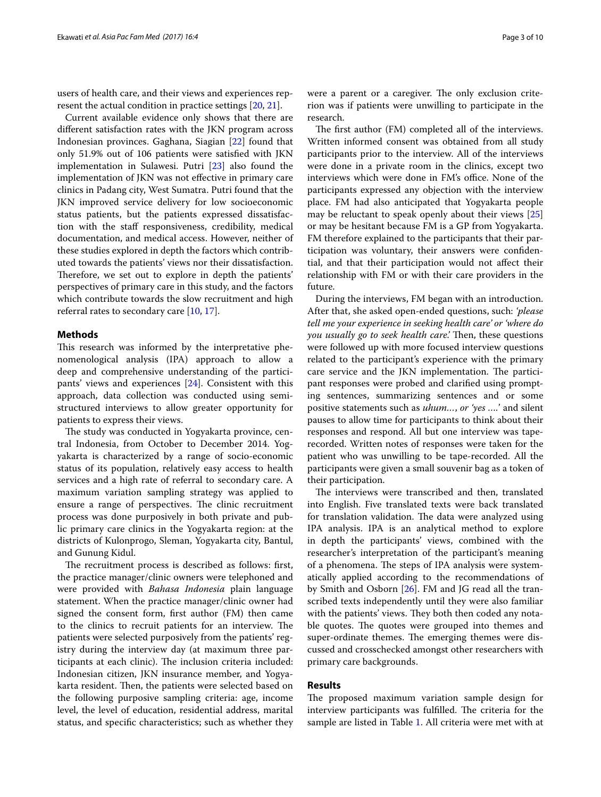users of health care, and their views and experiences represent the actual condition in practice settings [\[20](#page-9-2), [21\]](#page-9-3).

Current available evidence only shows that there are different satisfaction rates with the JKN program across Indonesian provinces. Gaghana, Siagian [\[22\]](#page-9-4) found that only 51.9% out of 106 patients were satisfied with JKN implementation in Sulawesi. Putri [\[23\]](#page-9-5) also found the implementation of JKN was not effective in primary care clinics in Padang city, West Sumatra. Putri found that the JKN improved service delivery for low socioeconomic status patients, but the patients expressed dissatisfaction with the staff responsiveness, credibility, medical documentation, and medical access. However, neither of these studies explored in depth the factors which contributed towards the patients' views nor their dissatisfaction. Therefore, we set out to explore in depth the patients' perspectives of primary care in this study, and the factors which contribute towards the slow recruitment and high referral rates to secondary care [\[10](#page-8-9), [17\]](#page-8-16).

# **Methods**

This research was informed by the interpretative phenomenological analysis (IPA) approach to allow a deep and comprehensive understanding of the participants' views and experiences [\[24\]](#page-9-6). Consistent with this approach, data collection was conducted using semistructured interviews to allow greater opportunity for patients to express their views.

The study was conducted in Yogyakarta province, central Indonesia, from October to December 2014. Yogyakarta is characterized by a range of socio-economic status of its population, relatively easy access to health services and a high rate of referral to secondary care. A maximum variation sampling strategy was applied to ensure a range of perspectives. The clinic recruitment process was done purposively in both private and public primary care clinics in the Yogyakarta region: at the districts of Kulonprogo, Sleman, Yogyakarta city, Bantul, and Gunung Kidul.

The recruitment process is described as follows: first, the practice manager/clinic owners were telephoned and were provided with *Bahasa Indonesia* plain language statement. When the practice manager/clinic owner had signed the consent form, first author (FM) then came to the clinics to recruit patients for an interview. The patients were selected purposively from the patients' registry during the interview day (at maximum three participants at each clinic). The inclusion criteria included: Indonesian citizen, JKN insurance member, and Yogyakarta resident. Then, the patients were selected based on the following purposive sampling criteria: age, income level, the level of education, residential address, marital status, and specific characteristics; such as whether they were a parent or a caregiver. The only exclusion criterion was if patients were unwilling to participate in the research.

The first author (FM) completed all of the interviews. Written informed consent was obtained from all study participants prior to the interview. All of the interviews were done in a private room in the clinics, except two interviews which were done in FM's office. None of the participants expressed any objection with the interview place. FM had also anticipated that Yogyakarta people may be reluctant to speak openly about their views [[25](#page-9-7)] or may be hesitant because FM is a GP from Yogyakarta. FM therefore explained to the participants that their participation was voluntary, their answers were confidential, and that their participation would not affect their relationship with FM or with their care providers in the future.

During the interviews, FM began with an introduction. After that, she asked open-ended questions, such: *'please tell me your experience in seeking health care' or 'where do you usually go to seek health care.'* Then, these questions were followed up with more focused interview questions related to the participant's experience with the primary care service and the JKN implementation. The participant responses were probed and clarified using prompting sentences, summarizing sentences and or some positive statements such as *uhum…*, *or 'yes ….*' and silent pauses to allow time for participants to think about their responses and respond. All but one interview was taperecorded. Written notes of responses were taken for the patient who was unwilling to be tape-recorded. All the participants were given a small souvenir bag as a token of their participation.

The interviews were transcribed and then, translated into English. Five translated texts were back translated for translation validation. The data were analyzed using IPA analysis. IPA is an analytical method to explore in depth the participants' views, combined with the researcher's interpretation of the participant's meaning of a phenomena. The steps of IPA analysis were systematically applied according to the recommendations of by Smith and Osborn [[26\]](#page-9-8). FM and JG read all the transcribed texts independently until they were also familiar with the patients' views. They both then coded any notable quotes. The quotes were grouped into themes and super-ordinate themes. The emerging themes were discussed and crosschecked amongst other researchers with primary care backgrounds.

# **Results**

The proposed maximum variation sample design for interview participants was fulfilled. The criteria for the sample are listed in Table [1.](#page-3-0) All criteria were met with at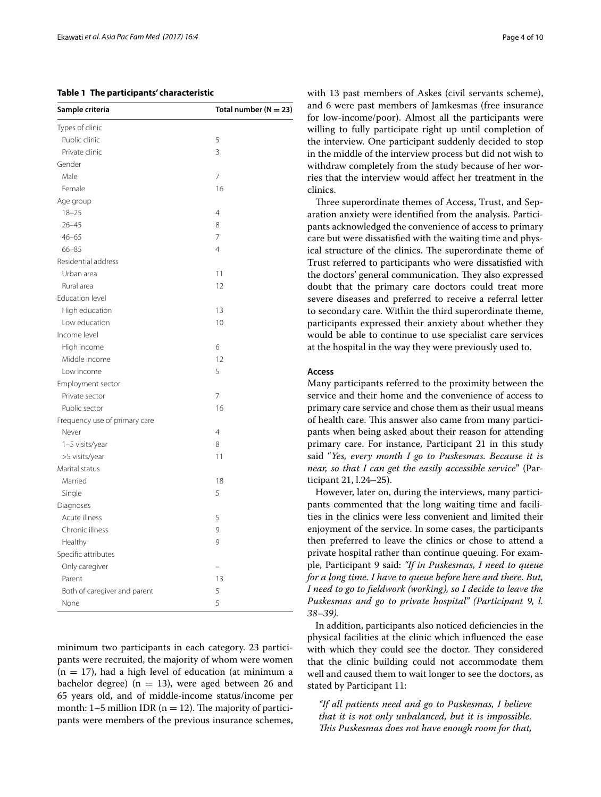<span id="page-3-0"></span>

|  |  |  | Table 1 The participants' characteristic |
|--|--|--|------------------------------------------|
|--|--|--|------------------------------------------|

| Sample criteria               | Total number ( $N = 23$ ) |
|-------------------------------|---------------------------|
| Types of clinic               |                           |
| Public clinic                 | 5                         |
| Private clinic                | 3                         |
| Gender                        |                           |
| Male                          | 7                         |
| Female                        | 16                        |
| Age group                     |                           |
| $18 - 25$                     | $\overline{4}$            |
| $26 - 45$                     | 8                         |
| $46 - 65$                     | 7                         |
| $66 - 85$                     | $\overline{4}$            |
| Residential address           |                           |
| Urban area                    | 11                        |
| Rural area                    | 12                        |
| <b>Education level</b>        |                           |
| High education                | 13                        |
| Low education                 | 10                        |
| Income level                  |                           |
| High income                   | 6                         |
| Middle income                 | 12                        |
| Low income                    | 5                         |
| Employment sector             |                           |
| Private sector                | 7                         |
| Public sector                 | 16                        |
| Frequency use of primary care |                           |
| Never                         | $\overline{4}$            |
| 1-5 visits/year               | 8                         |
| >5 visits/year                | 11                        |
| Marital status                |                           |
| Married                       | 18                        |
| Single                        | 5                         |
| Diagnoses                     |                           |
| Acute illness                 | 5                         |
| Chronic illness               | 9                         |
| Healthy                       | 9                         |
| Specific attributes           |                           |
| Only caregiver                |                           |
| Parent                        | 13                        |
| Both of caregiver and parent  | 5                         |
| None                          | 5                         |

minimum two participants in each category. 23 participants were recruited, the majority of whom were women  $(n = 17)$ , had a high level of education (at minimum a bachelor degree) ( $n = 13$ ), were aged between 26 and 65 years old, and of middle-income status/income per month:  $1-5$  million IDR ( $n = 12$ ). The majority of participants were members of the previous insurance schemes, with 13 past members of Askes (civil servants scheme), and 6 were past members of Jamkesmas (free insurance for low-income/poor). Almost all the participants were willing to fully participate right up until completion of the interview. One participant suddenly decided to stop in the middle of the interview process but did not wish to withdraw completely from the study because of her worries that the interview would affect her treatment in the clinics.

Three superordinate themes of Access, Trust, and Separation anxiety were identified from the analysis. Participants acknowledged the convenience of access to primary care but were dissatisfied with the waiting time and physical structure of the clinics. The superordinate theme of Trust referred to participants who were dissatisfied with the doctors' general communication. They also expressed doubt that the primary care doctors could treat more severe diseases and preferred to receive a referral letter to secondary care. Within the third superordinate theme, participants expressed their anxiety about whether they would be able to continue to use specialist care services at the hospital in the way they were previously used to.

# **Access**

Many participants referred to the proximity between the service and their home and the convenience of access to primary care service and chose them as their usual means of health care. This answer also came from many participants when being asked about their reason for attending primary care. For instance, Participant 21 in this study said "*Yes, every month I go to Puskesmas. Because it is near, so that I can get the easily accessible service*" (Participant 21, l.24–25).

However, later on, during the interviews, many participants commented that the long waiting time and facilities in the clinics were less convenient and limited their enjoyment of the service. In some cases, the participants then preferred to leave the clinics or chose to attend a private hospital rather than continue queuing. For example, Participant 9 said: *"If in Puskesmas, I need to queue for a long time. I have to queue before here and there. But, I need to go to fieldwork (working), so I decide to leave the Puskesmas and go to private hospital" (Participant 9, l. 38*–*39).*

In addition, participants also noticed deficiencies in the physical facilities at the clinic which influenced the ease with which they could see the doctor. They considered that the clinic building could not accommodate them well and caused them to wait longer to see the doctors, as stated by Participant 11:

*"If all patients need and go to Puskesmas, I believe that it is not only unbalanced, but it is impossible. This Puskesmas does not have enough room for that,*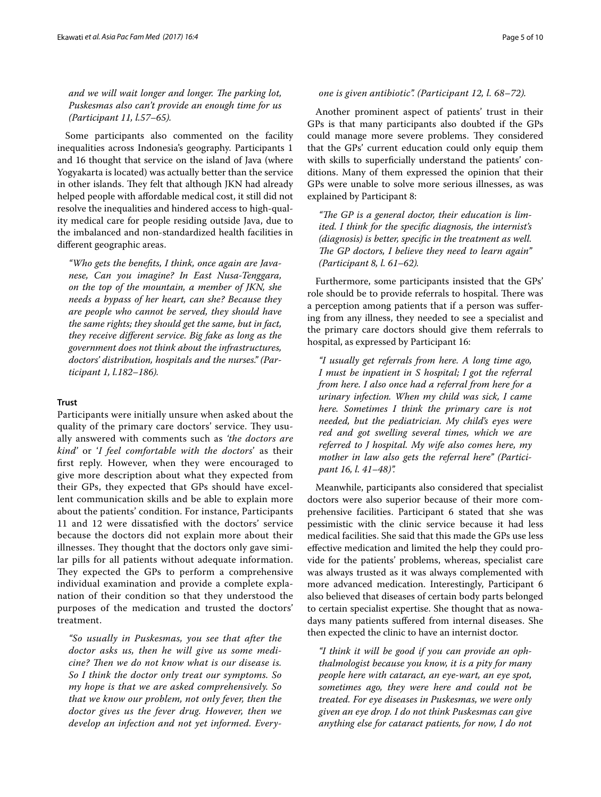*and we will wait longer and longer. The parking lot, Puskesmas also can't provide an enough time for us (Participant 11, l.57–65).*

Some participants also commented on the facility inequalities across Indonesia's geography. Participants 1 and 16 thought that service on the island of Java (where Yogyakarta is located) was actually better than the service in other islands. They felt that although JKN had already helped people with affordable medical cost, it still did not resolve the inequalities and hindered access to high-quality medical care for people residing outside Java, due to the imbalanced and non-standardized health facilities in different geographic areas.

*"Who gets the benefits, I think, once again are Javanese, Can you imagine? In East Nusa-Tenggara, on the top of the mountain, a member of JKN, she needs a bypass of her heart, can she? Because they are people who cannot be served, they should have the same rights; they should get the same, but in fact, they receive different service. Big fake as long as the government does not think about the infrastructures, doctors' distribution, hospitals and the nurses." (Participant 1, l.182–186).*

## **Trust**

Participants were initially unsure when asked about the quality of the primary care doctors' service. They usually answered with comments such as *'the doctors are kind'* or '*I feel comfortable with the doctors*' as their first reply. However, when they were encouraged to give more description about what they expected from their GPs, they expected that GPs should have excellent communication skills and be able to explain more about the patients' condition. For instance, Participants 11 and 12 were dissatisfied with the doctors' service because the doctors did not explain more about their illnesses. They thought that the doctors only gave similar pills for all patients without adequate information. They expected the GPs to perform a comprehensive individual examination and provide a complete explanation of their condition so that they understood the purposes of the medication and trusted the doctors' treatment.

*"So usually in Puskesmas, you see that after the doctor asks us, then he will give us some medicine? Then we do not know what is our disease is. So I think the doctor only treat our symptoms. So my hope is that we are asked comprehensively. So that we know our problem, not only fever, then the doctor gives us the fever drug. However, then we develop an infection and not yet informed. Every-*

# *one is given antibiotic". (Participant 12, l. 68–72).*

Another prominent aspect of patients' trust in their GPs is that many participants also doubted if the GPs could manage more severe problems. They considered that the GPs' current education could only equip them with skills to superficially understand the patients' conditions. Many of them expressed the opinion that their GPs were unable to solve more serious illnesses, as was explained by Participant 8:

*"The GP is a general doctor, their education is limited. I think for the specific diagnosis, the internist's (diagnosis) is better, specific in the treatment as well. The GP doctors, I believe they need to learn again" (Participant 8, l. 61–62).* 

Furthermore, some participants insisted that the GPs' role should be to provide referrals to hospital. There was a perception among patients that if a person was suffering from any illness, they needed to see a specialist and the primary care doctors should give them referrals to hospital, as expressed by Participant 16:

*"I usually get referrals from here. A long time ago, I must be inpatient in S hospital; I got the referral from here. I also once had a referral from here for a urinary infection. When my child was sick, I came here. Sometimes I think the primary care is not needed, but the pediatrician. My child's eyes were red and got swelling several times, which we are referred to J hospital. My wife also comes here, my mother in law also gets the referral here" (Participant 16, l. 41–48)".*

Meanwhile, participants also considered that specialist doctors were also superior because of their more comprehensive facilities. Participant 6 stated that she was pessimistic with the clinic service because it had less medical facilities. She said that this made the GPs use less effective medication and limited the help they could provide for the patients' problems, whereas, specialist care was always trusted as it was always complemented with more advanced medication. Interestingly, Participant 6 also believed that diseases of certain body parts belonged to certain specialist expertise. She thought that as nowadays many patients suffered from internal diseases. She then expected the clinic to have an internist doctor.

*"I think it will be good if you can provide an ophthalmologist because you know, it is a pity for many people here with cataract, an eye-wart, an eye spot, sometimes ago, they were here and could not be treated. For eye diseases in Puskesmas, we were only given an eye drop. I do not think Puskesmas can give anything else for cataract patients, for now, I do not*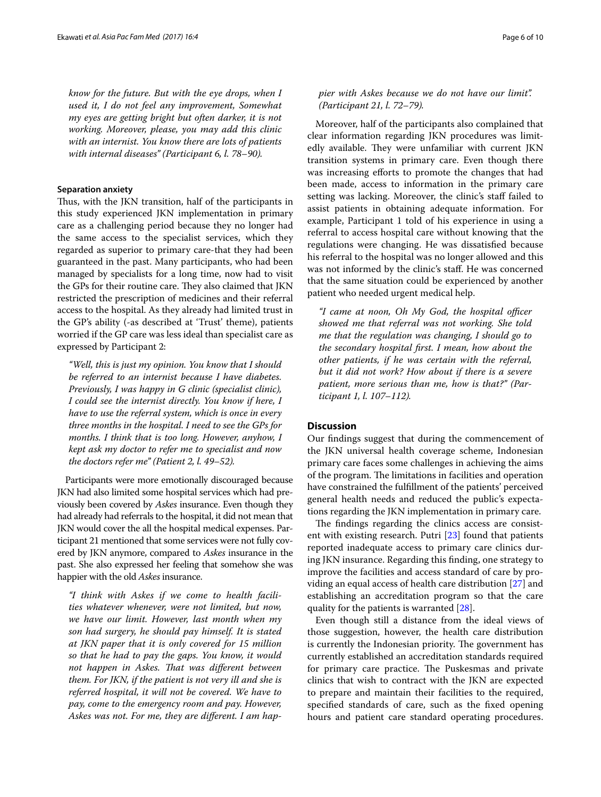*know for the future. But with the eye drops, when I used it, I do not feel any improvement, Somewhat my eyes are getting bright but often darker, it is not working. Moreover, please, you may add this clinic with an internist. You know there are lots of patients with internal diseases" (Participant 6, l. 78–90).*

# **Separation anxiety**

Thus, with the JKN transition, half of the participants in this study experienced JKN implementation in primary care as a challenging period because they no longer had the same access to the specialist services, which they regarded as superior to primary care-that they had been guaranteed in the past. Many participants, who had been managed by specialists for a long time, now had to visit the GPs for their routine care. They also claimed that JKN restricted the prescription of medicines and their referral access to the hospital. As they already had limited trust in the GP's ability (-as described at 'Trust' theme), patients worried if the GP care was less ideal than specialist care as expressed by Participant 2:

*"Well, this is just my opinion. You know that I should be referred to an internist because I have diabetes. Previously, I was happy in G clinic (specialist clinic), I could see the internist directly. You know if here, I have to use the referral system, which is once in every three months in the hospital. I need to see the GPs for months. I think that is too long. However, anyhow, I kept ask my doctor to refer me to specialist and now the doctors refer me" (Patient 2, l. 49–52).*

Participants were more emotionally discouraged because JKN had also limited some hospital services which had previously been covered by *Askes* insurance. Even though they had already had referrals to the hospital, it did not mean that JKN would cover the all the hospital medical expenses. Participant 21 mentioned that some services were not fully covered by JKN anymore, compared to *Askes* insurance in the past. She also expressed her feeling that somehow she was happier with the old *Askes* insurance.

*"I think with Askes if we come to health facilities whatever whenever, were not limited, but now, we have our limit. However, last month when my son had surgery, he should pay himself. It is stated at JKN paper that it is only covered for 15 million so that he had to pay the gaps. You know, it would not happen in Askes. That was different between them. For JKN, if the patient is not very ill and she is referred hospital, it will not be covered. We have to pay, come to the emergency room and pay. However, Askes was not. For me, they are different. I am hap-* *pier with Askes because we do not have our limit". (Participant 21, l. 72–79).*

Moreover, half of the participants also complained that clear information regarding JKN procedures was limitedly available. They were unfamiliar with current JKN transition systems in primary care. Even though there was increasing efforts to promote the changes that had been made, access to information in the primary care setting was lacking. Moreover, the clinic's staff failed to assist patients in obtaining adequate information. For example, Participant 1 told of his experience in using a referral to access hospital care without knowing that the regulations were changing. He was dissatisfied because his referral to the hospital was no longer allowed and this was not informed by the clinic's staff. He was concerned that the same situation could be experienced by another patient who needed urgent medical help.

*"I came at noon, Oh My God, the hospital officer showed me that referral was not working. She told me that the regulation was changing, I should go to the secondary hospital first. I mean, how about the other patients, if he was certain with the referral, but it did not work? How about if there is a severe patient, more serious than me, how is that?" (Participant 1, l. 107–112).*

## **Discussion**

Our findings suggest that during the commencement of the JKN universal health coverage scheme, Indonesian primary care faces some challenges in achieving the aims of the program. The limitations in facilities and operation have constrained the fulfillment of the patients' perceived general health needs and reduced the public's expectations regarding the JKN implementation in primary care.

The findings regarding the clinics access are consistent with existing research. Putri [[23](#page-9-5)] found that patients reported inadequate access to primary care clinics during JKN insurance. Regarding this finding, one strategy to improve the facilities and access standard of care by providing an equal access of health care distribution [\[27\]](#page-9-9) and establishing an accreditation program so that the care quality for the patients is warranted [[28](#page-9-10)].

Even though still a distance from the ideal views of those suggestion, however, the health care distribution is currently the Indonesian priority. The government has currently established an accreditation standards required for primary care practice. The Puskesmas and private clinics that wish to contract with the JKN are expected to prepare and maintain their facilities to the required, specified standards of care, such as the fixed opening hours and patient care standard operating procedures.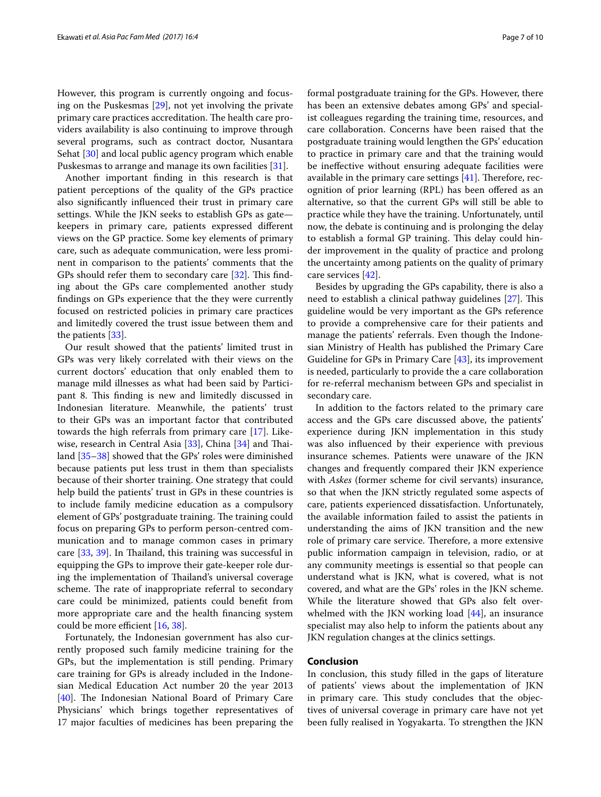However, this program is currently ongoing and focusing on the Puskesmas [[29\]](#page-9-11), not yet involving the private primary care practices accreditation. The health care providers availability is also continuing to improve through several programs, such as contract doctor, Nusantara Sehat [[30\]](#page-9-12) and local public agency program which enable Puskesmas to arrange and manage its own facilities [[31](#page-9-13)].

Another important finding in this research is that patient perceptions of the quality of the GPs practice also significantly influenced their trust in primary care settings. While the JKN seeks to establish GPs as gate keepers in primary care, patients expressed different views on the GP practice. Some key elements of primary care, such as adequate communication, were less prominent in comparison to the patients' comments that the GPs should refer them to secondary care [\[32](#page-9-14)]. This finding about the GPs care complemented another study findings on GPs experience that the they were currently focused on restricted policies in primary care practices and limitedly covered the trust issue between them and the patients [\[33\]](#page-9-15).

Our result showed that the patients' limited trust in GPs was very likely correlated with their views on the current doctors' education that only enabled them to manage mild illnesses as what had been said by Participant 8. This finding is new and limitedly discussed in Indonesian literature. Meanwhile, the patients' trust to their GPs was an important factor that contributed towards the high referrals from primary care [[17\]](#page-8-16). Likewise, research in Central Asia [[33\]](#page-9-15), China [[34\]](#page-9-16) and Thailand [\[35](#page-9-17)–[38\]](#page-9-18) showed that the GPs' roles were diminished because patients put less trust in them than specialists because of their shorter training. One strategy that could help build the patients' trust in GPs in these countries is to include family medicine education as a compulsory element of GPs' postgraduate training. The training could focus on preparing GPs to perform person-centred communication and to manage common cases in primary care [\[33,](#page-9-15) [39](#page-9-19)]. In Thailand, this training was successful in equipping the GPs to improve their gate-keeper role during the implementation of Thailand's universal coverage scheme. The rate of inappropriate referral to secondary care could be minimized, patients could benefit from more appropriate care and the health financing system could be more efficient [[16,](#page-8-15) [38](#page-9-18)].

Fortunately, the Indonesian government has also currently proposed such family medicine training for the GPs, but the implementation is still pending. Primary care training for GPs is already included in the Indonesian Medical Education Act number 20 the year 2013 [[40\]](#page-9-20). The Indonesian National Board of Primary Care Physicians' which brings together representatives of 17 major faculties of medicines has been preparing the formal postgraduate training for the GPs. However, there has been an extensive debates among GPs' and specialist colleagues regarding the training time, resources, and care collaboration. Concerns have been raised that the postgraduate training would lengthen the GPs' education to practice in primary care and that the training would be ineffective without ensuring adequate facilities were available in the primary care settings [\[41](#page-9-21)]. Therefore, recognition of prior learning (RPL) has been offered as an alternative, so that the current GPs will still be able to practice while they have the training. Unfortunately, until now, the debate is continuing and is prolonging the delay to establish a formal GP training. This delay could hinder improvement in the quality of practice and prolong the uncertainty among patients on the quality of primary care services [[42\]](#page-9-22).

Besides by upgrading the GPs capability, there is also a need to establish a clinical pathway guidelines [[27\]](#page-9-9). This guideline would be very important as the GPs reference to provide a comprehensive care for their patients and manage the patients' referrals. Even though the Indonesian Ministry of Health has published the Primary Care Guideline for GPs in Primary Care [[43\]](#page-9-23), its improvement is needed, particularly to provide the a care collaboration for re-referral mechanism between GPs and specialist in secondary care.

In addition to the factors related to the primary care access and the GPs care discussed above, the patients' experience during JKN implementation in this study was also influenced by their experience with previous insurance schemes. Patients were unaware of the JKN changes and frequently compared their JKN experience with *Askes* (former scheme for civil servants) insurance, so that when the JKN strictly regulated some aspects of care, patients experienced dissatisfaction. Unfortunately, the available information failed to assist the patients in understanding the aims of JKN transition and the new role of primary care service. Therefore, a more extensive public information campaign in television, radio, or at any community meetings is essential so that people can understand what is JKN, what is covered, what is not covered, and what are the GPs' roles in the JKN scheme. While the literature showed that GPs also felt overwhelmed with the JKN working load [[44](#page-9-24)], an insurance specialist may also help to inform the patients about any JKN regulation changes at the clinics settings.

# **Conclusion**

In conclusion, this study filled in the gaps of literature of patients' views about the implementation of JKN in primary care. This study concludes that the objectives of universal coverage in primary care have not yet been fully realised in Yogyakarta. To strengthen the JKN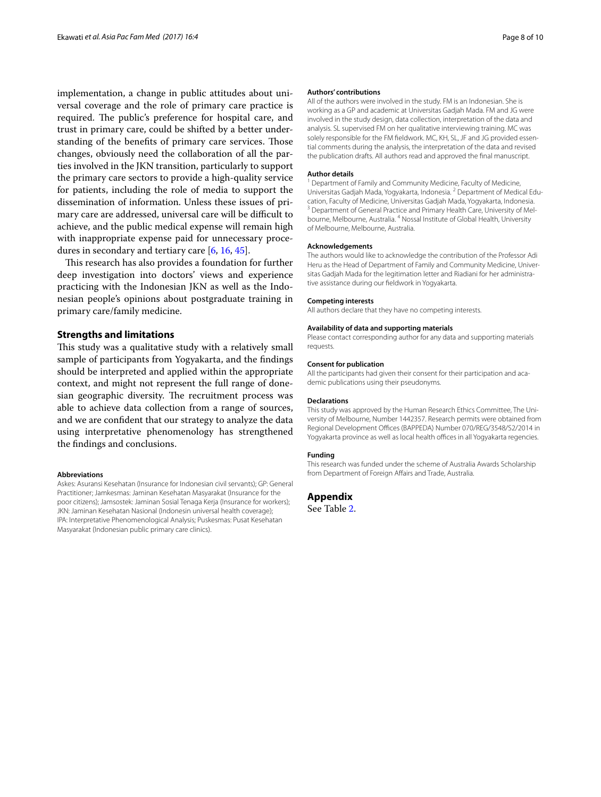implementation, a change in public attitudes about universal coverage and the role of primary care practice is required. The public's preference for hospital care, and trust in primary care, could be shifted by a better understanding of the benefits of primary care services. Those changes, obviously need the collaboration of all the parties involved in the JKN transition, particularly to support the primary care sectors to provide a high-quality service for patients, including the role of media to support the dissemination of information. Unless these issues of primary care are addressed, universal care will be difficult to achieve, and the public medical expense will remain high with inappropriate expense paid for unnecessary procedures in secondary and tertiary care [[6,](#page-8-5) [16](#page-8-15), [45\]](#page-9-25).

This research has also provides a foundation for further deep investigation into doctors' views and experience practicing with the Indonesian JKN as well as the Indonesian people's opinions about postgraduate training in primary care/family medicine.

# **Strengths and limitations**

This study was a qualitative study with a relatively small sample of participants from Yogyakarta, and the findings should be interpreted and applied within the appropriate context, and might not represent the full range of donesian geographic diversity. The recruitment process was able to achieve data collection from a range of sources, and we are confident that our strategy to analyze the data using interpretative phenomenology has strengthened the findings and conclusions.

#### **Abbreviations**

Askes: Asuransi Kesehatan (Insurance for Indonesian civil servants); GP: General Practitioner; Jamkesmas: Jaminan Kesehatan Masyarakat (Insurance for the poor citizens); Jamsostek: Jaminan Sosial Tenaga Kerja (Insurance for workers); JKN: Jaminan Kesehatan Nasional (Indonesin universal health coverage); IPA: Interpretative Phenomenological Analysis; Puskesmas: Pusat Kesehatan Masyarakat (Indonesian public primary care clinics).

#### **Authors' contributions**

All of the authors were involved in the study. FM is an Indonesian. She is working as a GP and academic at Universitas Gadjah Mada. FM and JG were involved in the study design, data collection, interpretation of the data and analysis. SL supervised FM on her qualitative interviewing training. MC was solely responsible for the FM fieldwork. MC, KH, SL, JF and JG provided essential comments during the analysis, the interpretation of the data and revised the publication drafts. All authors read and approved the final manuscript.

#### **Author details**

<sup>1</sup> Department of Family and Community Medicine, Faculty of Medicine, Universitas Gadjah Mada, Yogyakarta, Indonesia. <sup>2</sup> Department of Medical Edu-<br>cation, Faculty of Medicine, Universitas Gadjah Mada, Yogyakarta, Indonesia. <sup>3</sup> Department of General Practice and Primary Health Care, University of Melbourne, Melbourne, Australia. <sup>4</sup> Nossal Institute of Global Health, University of Melbourne, Melbourne, Australia.

#### **Acknowledgements**

The authors would like to acknowledge the contribution of the Professor Adi Heru as the Head of Department of Family and Community Medicine, Universitas Gadjah Mada for the legitimation letter and Riadiani for her administrative assistance during our fieldwork in Yogyakarta.

# **Competing interests**

All authors declare that they have no competing interests.

#### **Availability of data and supporting materials**

Please contact corresponding author for any data and supporting materials requests.

## **Consent for publication**

All the participants had given their consent for their participation and academic publications using their pseudonyms.

#### **Declarations**

This study was approved by the Human Research Ethics Committee, The University of Melbourne, Number 1442357. Research permits were obtained from Regional Development Offices (BAPPEDA) Number 070/REG/3548/S2/2014 in Yogyakarta province as well as local health offices in all Yogyakarta regencies.

## **Funding**

This research was funded under the scheme of Australia Awards Scholarship from Department of Foreign Affairs and Trade, Australia.

# **Appendix**

See Table [2.](#page-8-17)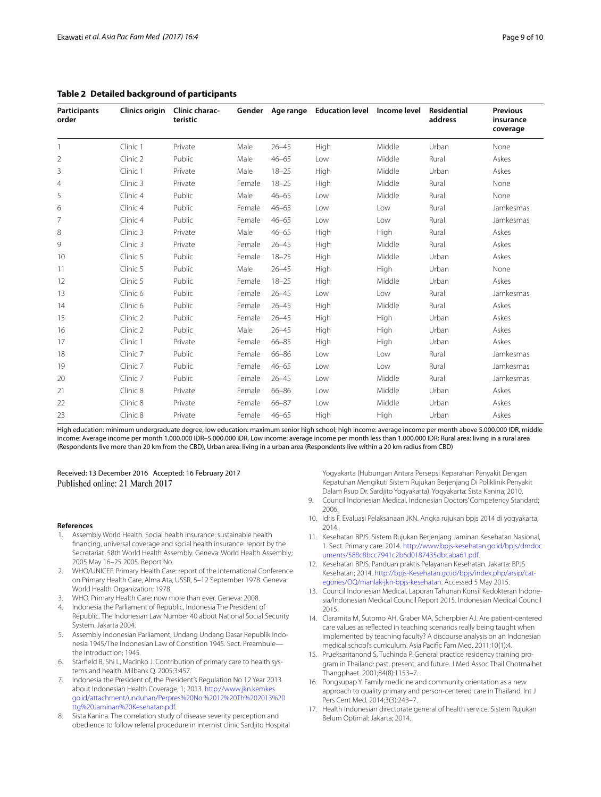| <b>Participants</b><br>order | <b>Clinics origin</b> | Clinic charac-<br>teristic |        |           | Gender Age range Education level | Income level | Residential<br>address | <b>Previous</b><br>insurance<br>coverage |
|------------------------------|-----------------------|----------------------------|--------|-----------|----------------------------------|--------------|------------------------|------------------------------------------|
| $\mathbf{1}$                 | Clinic 1              | Private                    | Male   | $26 - 45$ | High                             | Middle       | Urban                  | None                                     |
| $\overline{2}$               | Clinic 2              | Public                     | Male   | $46 - 65$ | Low                              | Middle       | Rural                  | Askes                                    |
| 3                            | Clinic 1              | Private                    | Male   | $18 - 25$ | High                             | Middle       | Urban                  | Askes                                    |
| 4                            | Clinic 3              | Private                    | Female | $18 - 25$ | High                             | Middle       | Rural                  | None                                     |
| 5                            | Clinic <sub>4</sub>   | Public                     | Male   | $46 - 65$ | Low                              | Middle       | Rural                  | None                                     |
| 6                            | Clinic 4              | Public                     | Female | $46 - 65$ | Low                              | Low          | Rural                  | Jamkesmas                                |
| 7                            | Clinic 4              | Public                     | Female | $46 - 65$ | Low                              | l ow         | Rural                  | Jamkesmas                                |
| 8                            | Clinic 3              | Private                    | Male   | $46 - 65$ | High                             | High         | Rural                  | Askes                                    |
| 9                            | Clinic 3              | Private                    | Female | $26 - 45$ | High                             | Middle       | Rural                  | Askes                                    |
| 10                           | Clinic 5              | Public                     | Female | $18 - 25$ | High                             | Middle       | Urban                  | Askes                                    |
| 11                           | Clinic 5              | Public                     | Male   | $26 - 45$ | High                             | High         | Urban                  | None                                     |
| 12                           | Clinic 5              | Public                     | Female | $18 - 25$ | High                             | Middle       | Urban                  | Askes                                    |
| 13                           | Clinic 6              | Public                     | Female | $26 - 45$ | Low                              | Low          | Rural                  | Jamkesmas                                |
| 14                           | Clinic 6              | Public                     | Female | $26 - 45$ | High                             | Middle       | Rural                  | Askes                                    |
| 15                           | Clinic 2              | Public                     | Female | $26 - 45$ | High                             | High         | Urban                  | Askes                                    |
| 16                           | Clinic 2              | Public                     | Male   | $26 - 45$ | High                             | High         | Urban                  | Askes                                    |
| 17                           | Clinic 1              | Private                    | Female | $66 - 85$ | High                             | High         | Urban                  | Askes                                    |
| 18                           | Clinic 7              | Public                     | Female | $66 - 86$ | Low                              | Low          | Rural                  | Jamkesmas                                |
| 19                           | Clinic 7              | Public                     | Female | $46 - 65$ | Low                              | Low          | Rural                  | Jamkesmas                                |
| 20                           | Clinic 7              | Public                     | Female | $26 - 45$ | Low                              | Middle       | Rural                  | Jamkesmas                                |
| 21                           | Clinic 8              | Private                    | Female | $66 - 86$ | Low                              | Middle       | Urban                  | Askes                                    |
| 22                           | Clinic 8              | Private                    | Female | $66 - 87$ | Low                              | Middle       | Urban                  | Askes                                    |
| 23                           | Clinic 8              | Private                    | Female | $46 - 65$ | High                             | High         | Urban                  | Askes                                    |

# <span id="page-8-17"></span>**Table 2 Detailed background of participants**

High education: minimum undergraduate degree, low education: maximum senior high school; high income: average income per month above 5.000.000 IDR, middle income: Average income per month 1.000.000 IDR–5.000.000 IDR, Low income: average income per month less than 1.000.000 IDR; Rural area: living in a rural area (Respondents live more than 20 km from the CBD), Urban area: living in a urban area (Respondents live within a 20 km radius from CBD)

Received: 13 December 2016 Accepted: 16 February 2017 Published online: 21 March 2017

#### **References**

- <span id="page-8-0"></span>1. Assembly World Health. Social health insurance: sustainable health financing, universal coverage and social health insurance: report by the Secretariat. 58th World Health Assembly. Geneva: World Health Assembly; 2005 May 16–25 2005. Report No.
- <span id="page-8-1"></span>2. WHO/UNICEF. Primary Health Care: report of the International Conference on Primary Health Care, Alma Ata, USSR, 5–12 September 1978. Geneva: World Health Organization; 1978.
- <span id="page-8-2"></span>3. WHO. Primary Health Care: now more than ever. Geneva: 2008.
- <span id="page-8-3"></span>4. Indonesia the Parliament of Republic, Indonesia The President of
- Republic. The Indonesian Law Number 40 about National Social Security System. Jakarta 2004.
- <span id="page-8-4"></span>5. Assembly Indonesian Parliament, Undang Undang Dasar Republik Indonesia 1945/The Indonesian Law of Constition 1945. Sect. Preambule the Introduction; 1945.
- <span id="page-8-5"></span>6. Starfield B, Shi L, Macinko J. Contribution of primary care to health systems and health. Milbank Q. 2005;3:457.
- <span id="page-8-6"></span>7. Indonesia the President of, the President's Regulation No 12 Year 2013 about Indonesian Health Coverage, 1; 2013. [http://www.jkn.kemkes.](http://www.jkn.kemkes.go.id/attachment/unduhan/Perpres%20No.%2012%20Th%202013%20ttg%20Jaminan%20Kesehatan.pdf) [go.id/attachment/unduhan/Perpres%20No.%2012%20Th%202013%20](http://www.jkn.kemkes.go.id/attachment/unduhan/Perpres%20No.%2012%20Th%202013%20ttg%20Jaminan%20Kesehatan.pdf) [ttg%20Jaminan%20Kesehatan.pdf.](http://www.jkn.kemkes.go.id/attachment/unduhan/Perpres%20No.%2012%20Th%202013%20ttg%20Jaminan%20Kesehatan.pdf)
- <span id="page-8-7"></span>8. Sista Kanina. The correlation study of disease severity perception and obedience to follow referral procedure in internist clinic Sardjito Hospital

Yogyakarta (Hubungan Antara Persepsi Keparahan Penyakit Dengan Kepatuhan Mengikuti Sistem Rujukan Berjenjang Di Poliklinik Penyakit Dalam Rsup Dr. Sardjito Yogyakarta). Yogyakarta: Sista Kanina; 2010.

- <span id="page-8-8"></span>9. Council Indonesian Medical, Indonesian Doctors' Competency Standard; 2006.
- <span id="page-8-9"></span>10. Idris F. Evaluasi Pelaksanaan JKN. Angka rujukan bpjs 2014 di yogyakarta; 2014.
- <span id="page-8-10"></span>11. Kesehatan BPJS. Sistem Rujukan Berjenjang Jaminan Kesehatan Nasional, 1. Sect. Primary care. 2014. [http://www.bpjs-kesehatan.go.id/bpjs/dmdoc](http://www.bpjs-kesehatan.go.id/bpjs/dmdocuments/588c8bcc7941c2b6d0187435dbcaba61.pdf) [uments/588c8bcc7941c2b6d0187435dbcaba61.pdf](http://www.bpjs-kesehatan.go.id/bpjs/dmdocuments/588c8bcc7941c2b6d0187435dbcaba61.pdf).
- <span id="page-8-11"></span>12. Kesehatan BPJS. Panduan praktis Pelayanan Kesehatan. Jakarta: BPJS Kesehatan; 2014. [http://bpjs-Kesehatan.go.id/bpjs/index.php/arsip/cat](http://bpjs-Kesehatan.go.id/bpjs/index.php/arsip/categories/OQ/manlak-jkn-bpjs-kesehatan)[egories/OQ/manlak-jkn-bpjs-kesehatan.](http://bpjs-Kesehatan.go.id/bpjs/index.php/arsip/categories/OQ/manlak-jkn-bpjs-kesehatan) Accessed 5 May 2015.
- <span id="page-8-12"></span>13. Council Indonesian Medical. Laporan Tahunan Konsil Kedokteran Indonesia/Indonesian Medical Council Report 2015. Indonesian Medical Council 2015.
- <span id="page-8-13"></span>14. Claramita M, Sutomo AH, Graber MA, Scherpbier AJ. Are patient-centered care values as reflected in teaching scenarios really being taught when implemented by teaching faculty? A discourse analysis on an Indonesian medical school's curriculum. Asia Pacific Fam Med. 2011;10(1):4.
- <span id="page-8-14"></span>15. Prueksaritanond S, Tuchinda P. General practice residency training program in Thailand: past, present, and future. J Med Assoc Thail Chotmaihet Thangphaet. 2001;84(8):1153–7.
- <span id="page-8-15"></span>16. Pongsupap Y. Family medicine and community orientation as a new approach to quality primary and person-centered care in Thailand. Int J Pers Cent Med. 2014;3(3):243–7.
- <span id="page-8-16"></span>17. Health Indonesian directorate general of health service. Sistem Rujukan Belum Optimal: Jakarta; 2014.